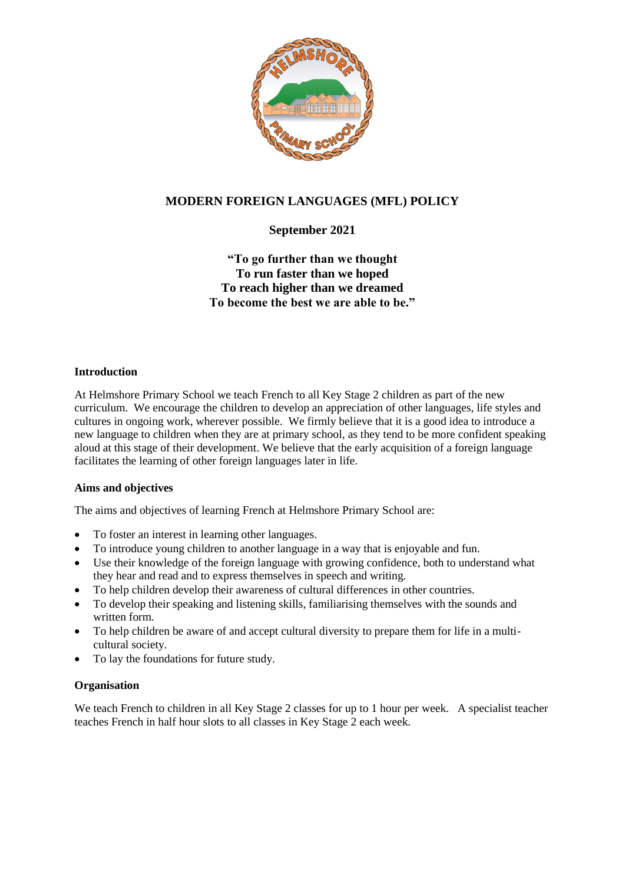

# **MODERN FOREIGN LANGUAGES (MFL) POLICY**

# **September 2021**

## **"To go further than we thought To run faster than we hoped To reach higher than we dreamed To become the best we are able to be."**

### **Introduction**

At Helmshore Primary School we teach French to all Key Stage 2 children as part of the new curriculum. We encourage the children to develop an appreciation of other languages, life styles and cultures in ongoing work, wherever possible. We firmly believe that it is a good idea to introduce a new language to children when they are at primary school, as they tend to be more confident speaking aloud at this stage of their development. We believe that the early acquisition of a foreign language facilitates the learning of other foreign languages later in life.

### **Aims and objectives**

The aims and objectives of learning French at Helmshore Primary School are:

- To foster an interest in learning other languages.
- To introduce young children to another language in a way that is enjoyable and fun.
- Use their knowledge of the foreign language with growing confidence, both to understand what they hear and read and to express themselves in speech and writing.
- To help children develop their awareness of cultural differences in other countries.
- To develop their speaking and listening skills, familiarising themselves with the sounds and written form.
- To help children be aware of and accept cultural diversity to prepare them for life in a multicultural society.
- To lay the foundations for future study.

#### **Organisation**

We teach French to children in all Key Stage 2 classes for up to 1 hour per week. A specialist teacher teaches French in half hour slots to all classes in Key Stage 2 each week.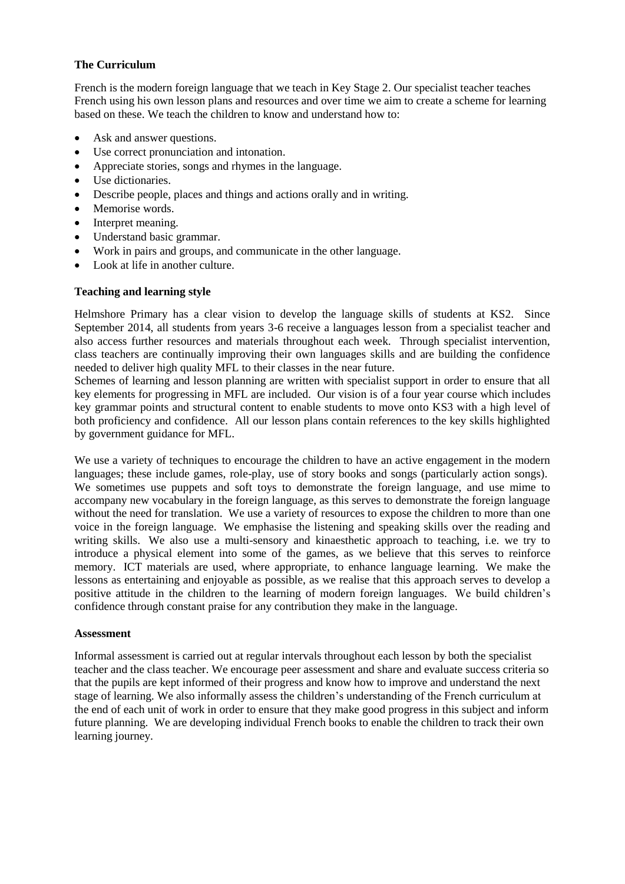### **The Curriculum**

French is the modern foreign language that we teach in Key Stage 2. Our specialist teacher teaches French using his own lesson plans and resources and over time we aim to create a scheme for learning based on these. We teach the children to know and understand how to:

- Ask and answer questions.
- Use correct pronunciation and intonation.
- Appreciate stories, songs and rhymes in the language.
- Use dictionaries.
- Describe people, places and things and actions orally and in writing.
- Memorise words.
- Interpret meaning.
- Understand basic grammar.
- Work in pairs and groups, and communicate in the other language.
- Look at life in another culture.

#### **Teaching and learning style**

Helmshore Primary has a clear vision to develop the language skills of students at KS2. Since September 2014, all students from years 3-6 receive a languages lesson from a specialist teacher and also access further resources and materials throughout each week. Through specialist intervention, class teachers are continually improving their own languages skills and are building the confidence needed to deliver high quality MFL to their classes in the near future.

Schemes of learning and lesson planning are written with specialist support in order to ensure that all key elements for progressing in MFL are included. Our vision is of a four year course which includes key grammar points and structural content to enable students to move onto KS3 with a high level of both proficiency and confidence. All our lesson plans contain references to the key skills highlighted by government guidance for MFL.

We use a variety of techniques to encourage the children to have an active engagement in the modern languages; these include games, role-play, use of story books and songs (particularly action songs). We sometimes use puppets and soft toys to demonstrate the foreign language, and use mime to accompany new vocabulary in the foreign language, as this serves to demonstrate the foreign language without the need for translation. We use a variety of resources to expose the children to more than one voice in the foreign language. We emphasise the listening and speaking skills over the reading and writing skills. We also use a multi-sensory and kinaesthetic approach to teaching, i.e. we try to introduce a physical element into some of the games, as we believe that this serves to reinforce memory. ICT materials are used, where appropriate, to enhance language learning. We make the lessons as entertaining and enjoyable as possible, as we realise that this approach serves to develop a positive attitude in the children to the learning of modern foreign languages. We build children's confidence through constant praise for any contribution they make in the language.

#### **Assessment**

Informal assessment is carried out at regular intervals throughout each lesson by both the specialist teacher and the class teacher. We encourage peer assessment and share and evaluate success criteria so that the pupils are kept informed of their progress and know how to improve and understand the next stage of learning. We also informally assess the children's understanding of the French curriculum at the end of each unit of work in order to ensure that they make good progress in this subject and inform future planning. We are developing individual French books to enable the children to track their own learning journey.